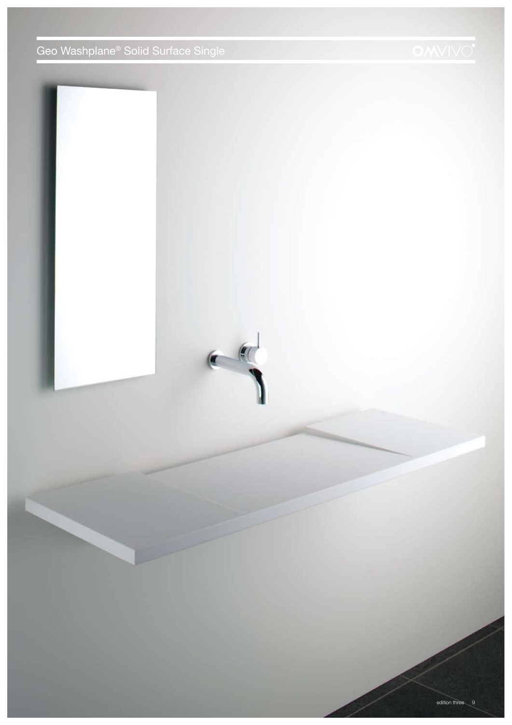Geo Washplane® Solid Surface Single